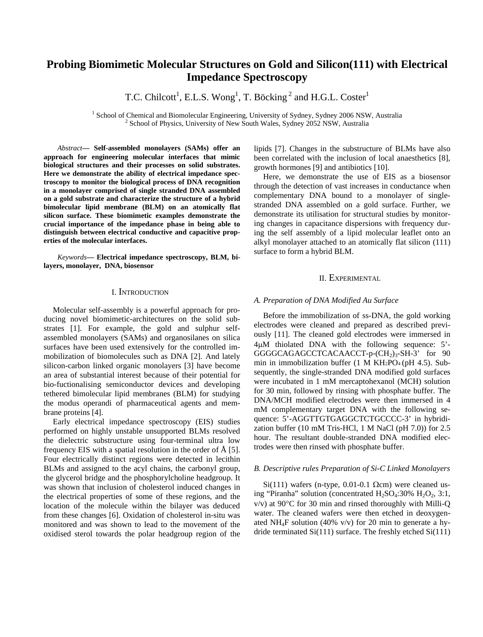# **Probing Biomimetic Molecular Structures on Gold and Silicon(111) with Electrical Impedance Spectroscopy**

T.C. Chilcott<sup>1</sup>, E.L.S. Wong<sup>1</sup>, T. Böcking<sup>2</sup> and H.G.L. Coster<sup>1</sup>

<sup>1</sup> School of Chemical and Biomolecular Engineering, University of Sydney, Sydney 2006 NSW, Australia <sup>2</sup> School of Physics, University of New South Wales, Sydney 2052 NSW, Australia

*Abstract***— Self-assembled monolayers (SAMs) offer an approach for engineering molecular interfaces that mimic biological structures and their processes on solid substrates. Here we demonstrate the ability of electrical impedance spectroscopy to monitor the biological process of DNA recognition in a monolayer comprised of single stranded DNA assembled on a gold substrate and characterize the structure of a hybrid bimolecular lipid membrane (BLM) on an atomically flat silicon surface. These biomimetic examples demonstrate the crucial importance of the impedance phase in being able to distinguish between electrical conductive and capacitive properties of the molecular interfaces.** 

*Keywords***— Electrical impedance spectroscopy, BLM, bilayers, monolayer, DNA, biosensor** 

## I. INTRODUCTION

Molecular self-assembly is a powerful approach for producing novel biomimetic-architectures on the solid substrates [1]. For example, the gold and sulphur selfassembled monolayers (SAMs) and organosilanes on silica surfaces have been used extensively for the controlled immobilization of biomolecules such as DNA [2]. And lately silicon-carbon linked organic monolayers [3] have become an area of substantial interest because of their potential for bio-fuctionalising semiconductor devices and developing tethered bimolecular lipid membranes (BLM) for studying the modus operandi of pharmaceutical agents and membrane proteins [4].

Early electrical impedance spectroscopy (EIS) studies performed on highly unstable unsupported BLMs resolved the dielectric substructure using four-terminal ultra low frequency EIS with a spatial resolution in the order of Å [5]. Four electrically distinct regions were detected in lecithin BLMs and assigned to the acyl chains, the carbonyl group, the glycerol bridge and the phosphorylcholine headgroup. It was shown that inclusion of cholesterol induced changes in the electrical properties of some of these regions, and the location of the molecule within the bilayer was deduced from these changes [6]. Oxidation of cholesterol in-situ was monitored and was shown to lead to the movement of the oxidised sterol towards the polar headgroup region of the

lipids [7]. Changes in the substructure of BLMs have also been correlated with the inclusion of local anaesthetics [8], growth hormones [9] and antibiotics [10].

Here, we demonstrate the use of EIS as a biosensor through the detection of vast increases in conductance when complementary DNA bound to a monolayer of singlestranded DNA assembled on a gold surface. Further, we demonstrate its utilisation for structural studies by monitoring changes in capacitance dispersions with frequency during the self assembly of a lipid molecular leaflet onto an alkyl monolayer attached to an atomically flat silicon (111) surface to form a hybrid BLM.

# II. EXPERIMENTAL

### *A. Preparation of DNA Modified Au Surface*

Before the immobilization of ss-DNA, the gold working electrodes were cleaned and prepared as described previously [11]. The cleaned gold electrodes were immersed in 4M thiolated DNA with the following sequence: 5'- GGGGCAGAGCCTCACAACCT-p-(CH<sub>2</sub>)<sub>3</sub>-SH-3' for 90 min in immobilization buffer (1 M KH2PO4 (pH 4.5). Subsequently, the single-stranded DNA modified gold surfaces were incubated in 1 mM mercaptohexanol (MCH) solution for 30 min, followed by rinsing with phosphate buffer. The DNA/MCH modified electrodes were then immersed in 4 mM complementary target DNA with the following sequence: 5'-AGGTTGTGAGGCTCTGCCCC-3' in hybridization buffer (10 mM Tris-HCl, 1 M NaCl (pH 7.0)) for 2.5 hour. The resultant double-stranded DNA modified electrodes were then rinsed with phosphate buffer.

#### *B. Descriptive rules Preparation of Si-C Linked Monolayers*

Si(111) wafers (n-type, 0.01-0.1  $\Omega$ cm) were cleaned using "Piranha" solution (concentrated  $H_2SO_4:30\%$   $H_2O_2$ , 3:1,  $v/v$ ) at 90 $^{\circ}$ C for 30 min and rinsed thoroughly with Milli-Q water. The cleaned wafers were then etched in deoxygenated NH<sub>4</sub>F solution (40% v/v) for 20 min to generate a hydride terminated Si(111) surface. The freshly etched Si(111)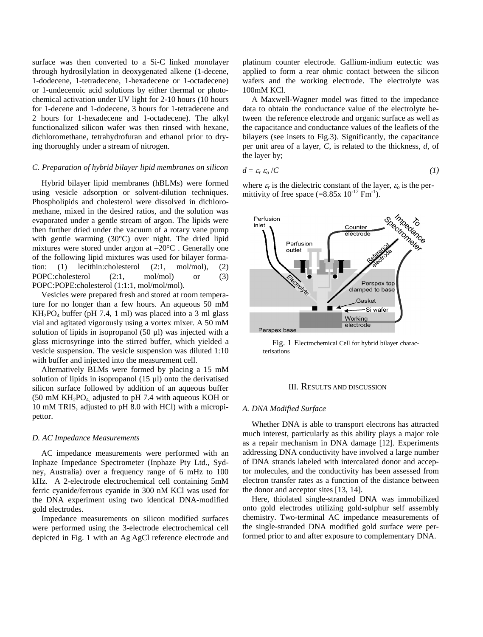surface was then converted to a Si-C linked monolayer through hydrosilylation in deoxygenated alkene (1-decene, 1-dodecene, 1-tetradecene, 1-hexadecene or 1-octadecene) or 1-undecenoic acid solutions by either thermal or photochemical activation under UV light for 2-10 hours (10 hours for 1-decene and 1-dodecene, 3 hours for 1-tetradecene and 2 hours for 1-hexadecene and 1-octadecene). The alkyl functionalized silicon wafer was then rinsed with hexane, dichloromethane, tetrahydrofuran and ethanol prior to drying thoroughly under a stream of nitrogen.

## *C. Preparation of hybrid bilayer lipid membranes on silicon*

Hybrid bilayer lipid membranes (hBLMs) were formed using vesicle adsorption or solvent-dilution techniques. Phospholipids and cholesterol were dissolved in dichloromethane, mixed in the desired ratios, and the solution was evaporated under a gentle stream of argon. The lipids were then further dried under the vacuum of a rotary vane pump with gentle warming (30°C) over night. The dried lipid mixtures were stored under argon at –20°C . Generally one of the following lipid mixtures was used for bilayer formation: (1) lecithin:cholesterol (2:1, mol/mol), (2) POPC:cholesterol (2:1, mol/mol) or (3) POPC:POPE:cholesterol (1:1:1, mol/mol/mol).

Vesicles were prepared fresh and stored at room temperature for no longer than a few hours. An aqueous 50 mM  $KH_2PO_4$  buffer (pH 7.4, 1 ml) was placed into a 3 ml glass vial and agitated vigorously using a vortex mixer. A 50 mM solution of lipids in isopropanol (50 µl) was injected with a glass microsyringe into the stirred buffer, which yielded a vesicle suspension. The vesicle suspension was diluted 1:10 with buffer and injected into the measurement cell.

Alternatively BLMs were formed by placing a 15 mM solution of lipids in isopropanol  $(15 \mu l)$  onto the derivatised silicon surface followed by addition of an aqueous buffer (50 mM  $KH_2PO_4$ , adjusted to pH 7.4 with aqueous KOH or 10 mM TRIS, adjusted to pH 8.0 with HCl) with a micropipettor.

## *D. AC Impedance Measurements*

AC impedance measurements were performed with an Inphaze Impedance Spectrometer (Inphaze Pty Ltd., Sydney, Australia) over a frequency range of 6 mHz to 100 kHz. A 2-electrode electrochemical cell containing 5mM ferric cyanide/ferrous cyanide in 300 nM KCl was used for the DNA experiment using two identical DNA-modified gold electrodes.

Impedance measurements on silicon modified surfaces were performed using the 3-electrode electrochemical cell depicted in Fig. 1 with an Ag|AgCl reference electrode and platinum counter electrode. Gallium-indium eutectic was applied to form a rear ohmic contact between the silicon wafers and the working electrode. The electrolyte was 100mM KCl.

A Maxwell-Wagner model was fitted to the impedance data to obtain the conductance value of the electrolyte between the reference electrode and organic surface as well as the capacitance and conductance values of the leaflets of the bilayers (see insets to Fig.3). Significantly, the capacitance per unit area of a layer, *C*, is related to the thickness, *d*, of the layer by;

$$
d = \varepsilon_r \, \varepsilon_o / C \tag{1}
$$

where  $\varepsilon_r$  is the dielectric constant of the layer,  $\varepsilon_o$  is the permittivity of free space  $(=8.85x 10^{-12} Fm^{-1})$ .



Fig. 1 Electrochemical Cell for hybrid bilayer characterisations

## III. RESULTS AND DISCUSSION

## *A. DNA Modified Surface*

Whether DNA is able to transport electrons has attracted much interest, particularly as this ability plays a major role as a repair mechanism in DNA damage [12]. Experiments addressing DNA conductivity have involved a large number of DNA strands labeled with intercalated donor and acceptor molecules, and the conductivity has been assessed from electron transfer rates as a function of the distance between the donor and acceptor sites [13, 14].

Here, thiolated single-stranded DNA was immobilized onto gold electrodes utilizing gold-sulphur self assembly chemistry. Two-terminal AC impedance measurements of the single-stranded DNA modified gold surface were performed prior to and after exposure to complementary DNA.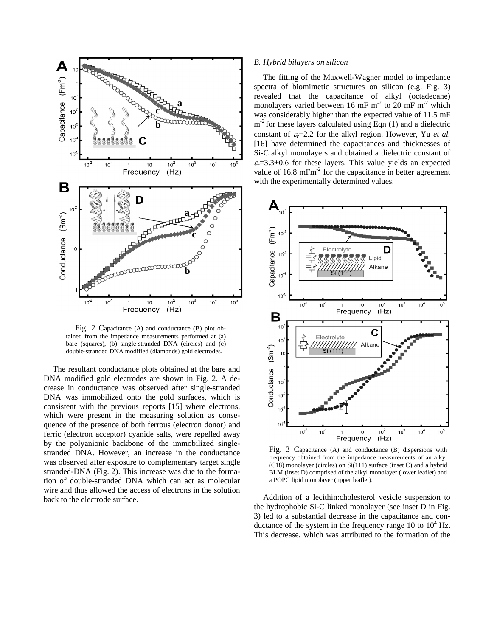

Fig. 2 Capacitance (A) and conductance (B) plot obtained from the impedance measurements performed at (a) bare (squares), (b) single-stranded DNA (circles) and (c) double-stranded DNA modified (diamonds) gold electrodes.

The resultant conductance plots obtained at the bare and DNA modified gold electrodes are shown in Fig. 2. A decrease in conductance was observed after single-stranded DNA was immobilized onto the gold surfaces, which is consistent with the previous reports [15] where electrons, which were present in the measuring solution as consequence of the presence of both ferrous (electron donor) and ferric (electron acceptor) cyanide salts, were repelled away by the polyanionic backbone of the immobilized singlestranded DNA. However, an increase in the conductance was observed after exposure to complementary target single stranded-DNA (Fig. 2). This increase was due to the formation of double-stranded DNA which can act as molecular wire and thus allowed the access of electrons in the solution back to the electrode surface.

## *B. Hybrid bilayers on silicon*

The fitting of the Maxwell-Wagner model to impedance spectra of biomimetic structures on silicon (e.g. Fig. 3) revealed that the capacitance of alkyl (octadecane) monolayers varied between 16 mF  $m<sup>2</sup>$  to 20 mF  $m<sup>2</sup>$  which was considerably higher than the expected value of 11.5 mF  $m<sup>-2</sup>$  for these layers calculated using Eqn (1) and a dielectric constant of  $\varepsilon_r = 2.2$  for the alkyl region. However, Yu *et al.* [16] have determined the capacitances and thicknesses of Si-C alkyl monolayers and obtained a dielectric constant of  $\varepsilon_r$ =3.3 $\pm$ 0.6 for these layers. This value yields an expected value of  $16.8 \text{ mFm}^2$  for the capacitance in better agreement with the experimentally determined values.



Fig. 3 Capacitance (A) and conductance (B) dispersions with frequency obtained from the impedance measurements of an alkyl (C18) monolayer (circles) on Si(111) surface (inset C) and a hybrid BLM (inset D) comprised of the alkyl monolayer (lower leaflet) and a POPC lipid monolayer (upper leaflet).

Addition of a lecithin:cholesterol vesicle suspension to the hydrophobic Si-C linked monolayer (see inset D in Fig. 3) led to a substantial decrease in the capacitance and conductance of the system in the frequency range  $10$  to  $10^4$  Hz. This decrease, which was attributed to the formation of the